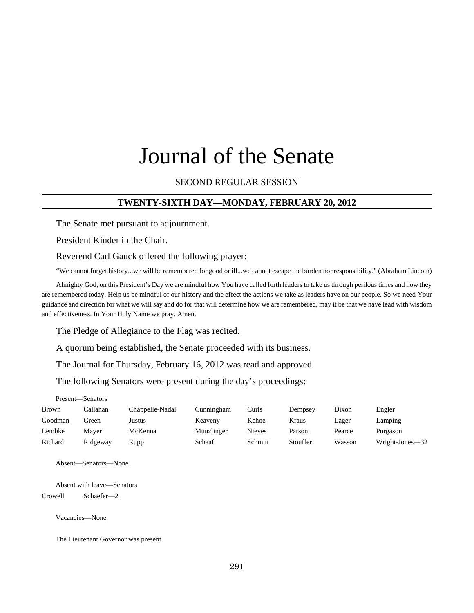# Journal of the Senate

## SECOND REGULAR SESSION

#### **TWENTY-SIXTH DAY—MONDAY, FEBRUARY 20, 2012**

The Senate met pursuant to adjournment.

President Kinder in the Chair.

Reverend Carl Gauck offered the following prayer:

"We cannot forget history...we will be remembered for good or ill...we cannot escape the burden nor responsibility." (Abraham Lincoln)

Almighty God, on this President's Day we are mindful how You have called forth leaders to take us through perilous times and how they are remembered today. Help us be mindful of our history and the effect the actions we take as leaders have on our people. So we need Your guidance and direction for what we will say and do for that will determine how we are remembered, may it be that we have lead with wisdom and effectiveness. In Your Holy Name we pray. Amen.

The Pledge of Allegiance to the Flag was recited.

A quorum being established, the Senate proceeded with its business.

The Journal for Thursday, February 16, 2012 was read and approved.

The following Senators were present during the day's proceedings:

| Present—Senators |          |                 |            |         |          |        |                 |
|------------------|----------|-----------------|------------|---------|----------|--------|-----------------|
| <b>Brown</b>     | Callahan | Chappelle-Nadal | Cunningham | Curls   | Dempsey  | Dixon  | Engler          |
| Goodman          | Green    | Justus          | Keaveny    | Kehoe   | Kraus    | Lager  | Lamping         |
| Lembke           | Maver    | McKenna         | Munzlinger | Nieves  | Parson   | Pearce | Purgason        |
| Richard          | Ridgeway | Rupp            | Schaaf     | Schmitt | Stouffer | Wasson | Wright-Jones-32 |

Absent—Senators—None

Absent with leave—Senators Crowell Schaefer—2

Vacancies—None

The Lieutenant Governor was present.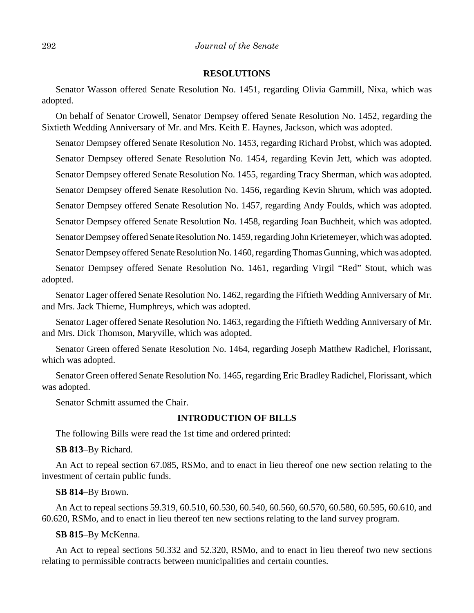#### **RESOLUTIONS**

Senator Wasson offered Senate Resolution No. 1451, regarding Olivia Gammill, Nixa, which was adopted.

On behalf of Senator Crowell, Senator Dempsey offered Senate Resolution No. 1452, regarding the Sixtieth Wedding Anniversary of Mr. and Mrs. Keith E. Haynes, Jackson, which was adopted.

Senator Dempsey offered Senate Resolution No. 1453, regarding Richard Probst, which was adopted. Senator Dempsey offered Senate Resolution No. 1454, regarding Kevin Jett, which was adopted. Senator Dempsey offered Senate Resolution No. 1455, regarding Tracy Sherman, which was adopted.

Senator Dempsey offered Senate Resolution No. 1456, regarding Kevin Shrum, which was adopted.

Senator Dempsey offered Senate Resolution No. 1457, regarding Andy Foulds, which was adopted.

Senator Dempsey offered Senate Resolution No. 1458, regarding Joan Buchheit, which was adopted.

Senator Dempsey offered Senate Resolution No. 1459, regarding John Krietemeyer, which was adopted.

Senator Dempsey offered Senate Resolution No. 1460, regarding Thomas Gunning, which was adopted.

Senator Dempsey offered Senate Resolution No. 1461, regarding Virgil "Red" Stout, which was adopted.

Senator Lager offered Senate Resolution No. 1462, regarding the Fiftieth Wedding Anniversary of Mr. and Mrs. Jack Thieme, Humphreys, which was adopted.

Senator Lager offered Senate Resolution No. 1463, regarding the Fiftieth Wedding Anniversary of Mr. and Mrs. Dick Thomson, Maryville, which was adopted.

Senator Green offered Senate Resolution No. 1464, regarding Joseph Matthew Radichel, Florissant, which was adopted.

Senator Green offered Senate Resolution No. 1465, regarding Eric Bradley Radichel, Florissant, which was adopted.

Senator Schmitt assumed the Chair.

#### **INTRODUCTION OF BILLS**

The following Bills were read the 1st time and ordered printed:

**SB 813**–By Richard.

An Act to repeal section 67.085, RSMo, and to enact in lieu thereof one new section relating to the investment of certain public funds.

#### **SB 814**–By Brown.

An Act to repeal sections 59.319, 60.510, 60.530, 60.540, 60.560, 60.570, 60.580, 60.595, 60.610, and 60.620, RSMo, and to enact in lieu thereof ten new sections relating to the land survey program.

#### **SB 815**–By McKenna.

An Act to repeal sections 50.332 and 52.320, RSMo, and to enact in lieu thereof two new sections relating to permissible contracts between municipalities and certain counties.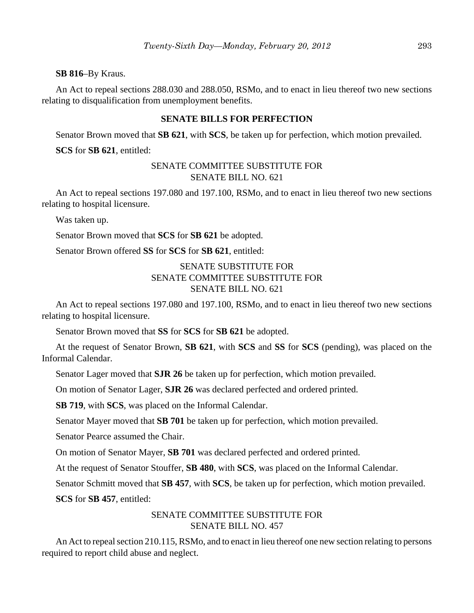#### **SB 816**–By Kraus.

An Act to repeal sections 288.030 and 288.050, RSMo, and to enact in lieu thereof two new sections relating to disqualification from unemployment benefits.

#### **SENATE BILLS FOR PERFECTION**

Senator Brown moved that **SB 621**, with **SCS**, be taken up for perfection, which motion prevailed.

**SCS** for **SB 621**, entitled:

## SENATE COMMITTEE SUBSTITUTE FOR SENATE BILL NO. 621

An Act to repeal sections 197.080 and 197.100, RSMo, and to enact in lieu thereof two new sections relating to hospital licensure.

Was taken up.

Senator Brown moved that **SCS** for **SB 621** be adopted.

Senator Brown offered **SS** for **SCS** for **SB 621**, entitled:

# SENATE SUBSTITUTE FOR SENATE COMMITTEE SUBSTITUTE FOR SENATE BILL NO. 621

An Act to repeal sections 197.080 and 197.100, RSMo, and to enact in lieu thereof two new sections relating to hospital licensure.

Senator Brown moved that **SS** for **SCS** for **SB 621** be adopted.

At the request of Senator Brown, **SB 621**, with **SCS** and **SS** for **SCS** (pending), was placed on the Informal Calendar.

Senator Lager moved that **SJR 26** be taken up for perfection, which motion prevailed.

On motion of Senator Lager, **SJR 26** was declared perfected and ordered printed.

**SB 719**, with **SCS**, was placed on the Informal Calendar.

Senator Mayer moved that **SB 701** be taken up for perfection, which motion prevailed.

Senator Pearce assumed the Chair.

On motion of Senator Mayer, **SB 701** was declared perfected and ordered printed.

At the request of Senator Stouffer, **SB 480**, with **SCS**, was placed on the Informal Calendar.

Senator Schmitt moved that **SB 457**, with **SCS**, be taken up for perfection, which motion prevailed.

**SCS** for **SB 457**, entitled:

## SENATE COMMITTEE SUBSTITUTE FOR SENATE BILL NO. 457

An Act to repeal section 210.115, RSMo, and to enact in lieu thereof one new section relating to persons required to report child abuse and neglect.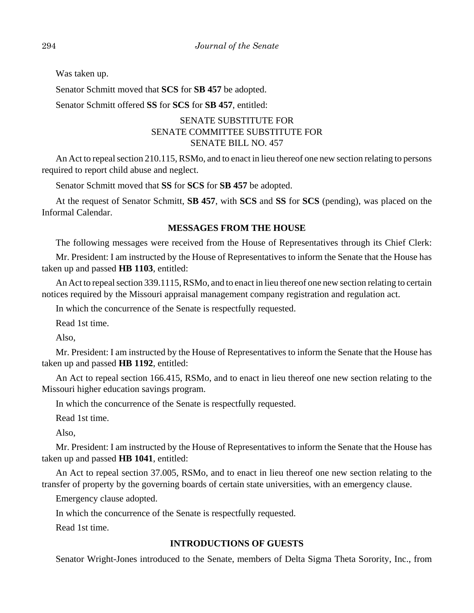Was taken up.

Senator Schmitt moved that **SCS** for **SB 457** be adopted.

Senator Schmitt offered **SS** for **SCS** for **SB 457**, entitled:

# SENATE SUBSTITUTE FOR SENATE COMMITTEE SUBSTITUTE FOR SENATE BILL NO. 457

An Act to repeal section 210.115, RSMo, and to enact in lieu thereof one new section relating to persons required to report child abuse and neglect.

Senator Schmitt moved that **SS** for **SCS** for **SB 457** be adopted.

At the request of Senator Schmitt, **SB 457**, with **SCS** and **SS** for **SCS** (pending), was placed on the Informal Calendar.

# **MESSAGES FROM THE HOUSE**

The following messages were received from the House of Representatives through its Chief Clerk:

Mr. President: I am instructed by the House of Representatives to inform the Senate that the House has taken up and passed **HB 1103**, entitled:

An Act to repeal section 339.1115, RSMo, and to enact in lieu thereof one new section relating to certain notices required by the Missouri appraisal management company registration and regulation act.

In which the concurrence of the Senate is respectfully requested.

Read 1st time.

Also,

Mr. President: I am instructed by the House of Representatives to inform the Senate that the House has taken up and passed **HB 1192**, entitled:

An Act to repeal section 166.415, RSMo, and to enact in lieu thereof one new section relating to the Missouri higher education savings program.

In which the concurrence of the Senate is respectfully requested.

Read 1st time.

Also,

Mr. President: I am instructed by the House of Representatives to inform the Senate that the House has taken up and passed **HB 1041**, entitled:

An Act to repeal section 37.005, RSMo, and to enact in lieu thereof one new section relating to the transfer of property by the governing boards of certain state universities, with an emergency clause.

Emergency clause adopted.

In which the concurrence of the Senate is respectfully requested.

Read 1st time.

# **INTRODUCTIONS OF GUESTS**

Senator Wright-Jones introduced to the Senate, members of Delta Sigma Theta Sorority, Inc., from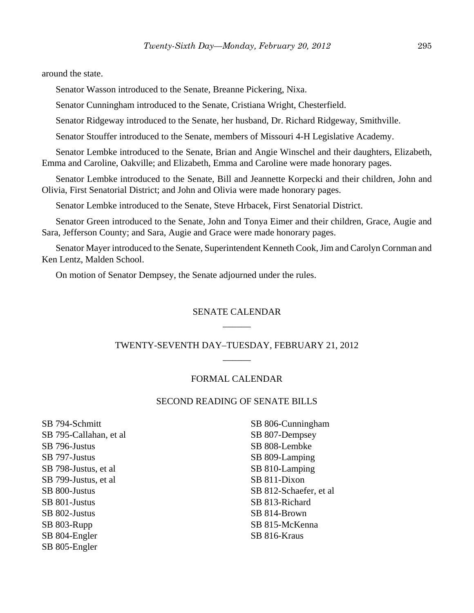around the state.

Senator Wasson introduced to the Senate, Breanne Pickering, Nixa.

Senator Cunningham introduced to the Senate, Cristiana Wright, Chesterfield.

Senator Ridgeway introduced to the Senate, her husband, Dr. Richard Ridgeway, Smithville.

Senator Stouffer introduced to the Senate, members of Missouri 4-H Legislative Academy.

Senator Lembke introduced to the Senate, Brian and Angie Winschel and their daughters, Elizabeth, Emma and Caroline, Oakville; and Elizabeth, Emma and Caroline were made honorary pages.

Senator Lembke introduced to the Senate, Bill and Jeannette Korpecki and their children, John and Olivia, First Senatorial District; and John and Olivia were made honorary pages.

Senator Lembke introduced to the Senate, Steve Hrbacek, First Senatorial District.

Senator Green introduced to the Senate, John and Tonya Eimer and their children, Grace, Augie and Sara, Jefferson County; and Sara, Augie and Grace were made honorary pages.

Senator Mayer introduced to the Senate, Superintendent Kenneth Cook, Jim and Carolyn Cornman and Ken Lentz, Malden School.

On motion of Senator Dempsey, the Senate adjourned under the rules.

## SENATE CALENDAR  $\overline{\phantom{a}}$

# TWENTY-SEVENTH DAY–TUESDAY, FEBRUARY 21, 2012 \_\_\_\_\_\_

# FORMAL CALENDAR

## SECOND READING OF SENATE BILLS

SB 794-Schmitt SB 795-Callahan, et al SB 796-Justus SB 797-Justus SB 798-Justus, et al SB 799-Justus, et al SB 800-Justus SB 801-Justus SB 802-Justus SB 803-Rupp SB 804-Engler SB 805-Engler

SB 806-Cunningham SB 807-Dempsey SB 808-Lembke SB 809-Lamping SB 810-Lamping SB 811-Dixon SB 812-Schaefer, et al SB 813-Richard SB 814-Brown SB 815-McKenna SB 816-Kraus